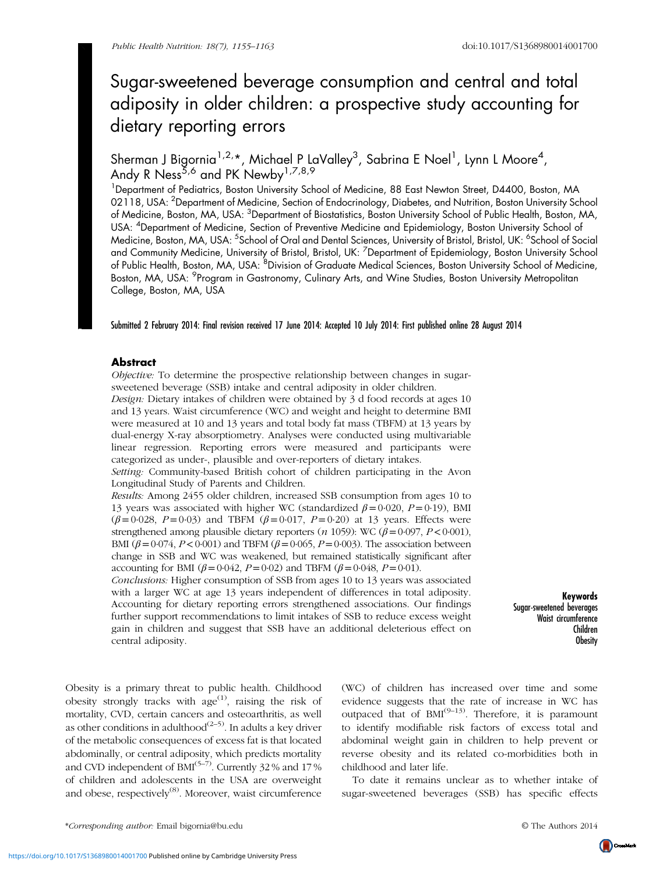# Sugar-sweetened beverage consumption and central and total adiposity in older children: a prospective study accounting for dietary reporting errors

Sherman J Bigornia<sup>1,2,</sup>\*, Michael P LaValley<sup>3</sup>, Sabrina E Noel<sup>1</sup>, Lynn L Moore<sup>4</sup>, Andy R Ness<sup>5,6</sup> and PK Newby<sup>1,7,8,9</sup>

<sup>1</sup>Department of Pediatrics, Boston University School of Medicine, 88 East Newton Street, D4400, Boston, MA 02118, USA: <sup>2</sup>Department of Medicine, Section of Endocrinology, Diabetes, and Nutrition, Boston University School of Medicine, Boston, MA, USA: <sup>3</sup>Department of Biostatistics, Boston University School of Public Health, Boston, MA, USA: <sup>4</sup>Department of Medicine, Section of Preventive Medicine and Epidemiology, Boston University School ol Medicine, Boston, MA, USA: <sup>5</sup>School of Oral and Dental Sciences, University of Bristol, Bristol, UK: <sup>6</sup>School of Social and Community Medicine, University of Bristol, Bristol, UK: <sup>7</sup>Department of Epidemiology, Boston University School of Public Health, Boston, MA, USA: <sup>8</sup>Division of Graduate Medical Sciences, Boston University School of Medicine, Boston, MA, USA: <sup>9</sup>Program in Gastronomy, Culinary Arts, and Wine Studies, Boston University Metropolitan College, Boston, MA, USA

Submitted 2 February 2014: Final revision received 17 June 2014: Accepted 10 July 2014: First published online 28 August 2014

# Abstract

Objective: To determine the prospective relationship between changes in sugarsweetened beverage (SSB) intake and central adiposity in older children.

Design: Dietary intakes of children were obtained by 3 d food records at ages 10 and 13 years. Waist circumference (WC) and weight and height to determine BMI were measured at 10 and 13 years and total body fat mass (TBFM) at 13 years by dual-energy X-ray absorptiometry. Analyses were conducted using multivariable linear regression. Reporting errors were measured and participants were categorized as under-, plausible and over-reporters of dietary intakes.

Setting: Community-based British cohort of children participating in the Avon Longitudinal Study of Parents and Children.

Results: Among 2455 older children, increased SSB consumption from ages 10 to 13 years was associated with higher WC (standardized  $\beta = 0.020$ ,  $P = 0.19$ ), BMI  $(\beta = 0.028, P = 0.03)$  and TBFM  $(\beta = 0.017, P = 0.20)$  at 13 years. Effects were strengthened among plausible dietary reporters (n 1059): WC ( $\beta$ =0·097, P<0·001), BMI ( $\beta$  = 0.074, P < 0.001) and TBFM ( $\beta$  = 0.065, P = 0.003). The association between change in SSB and WC was weakened, but remained statistically significant after accounting for BMI ( $β = 0.042$ ,  $P = 0.02$ ) and TBFM ( $β = 0.048$ ,  $P = 0.01$ ).

Conclusions: Higher consumption of SSB from ages 10 to 13 years was associated with a larger WC at age 13 years independent of differences in total adiposity. Accounting for dietary reporting errors strengthened associations. Our findings further support recommendations to limit intakes of SSB to reduce excess weight gain in children and suggest that SSB have an additional deleterious effect on central adiposity.

Keywords Sugar-sweetened beverages Waist circumference Children Obesity

Obesity is a primary threat to public health. Childhood obesity strongly tracks with  $age^{(1)}$  $age^{(1)}$  $age^{(1)}$ , raising the risk of mortality, CVD, certain cancers and osteoarthritis, as well as other conditions in adulthood<sup> $(2-5)$  $(2-5)$  $(2-5)$  $(2-5)$ </sup>. In adults a key driver of the metabolic consequences of excess fat is that located abdominally, or central adiposity, which predicts mortality and CVD independent of  $BM^{(5-7)}$  $BM^{(5-7)}$  $BM^{(5-7)}$  $BM^{(5-7)}$  $BM^{(5-7)}$ . Currently 32 % and 17 % of children and adolescents in the USA are overweight and obese, respectively<sup>([8](#page-7-0))</sup>. Moreover, waist circumference (WC) of children has increased over time and some evidence suggests that the rate of increase in WC has outpaced that of  $BMI^{(9-13)}$  $BMI^{(9-13)}$  $BMI^{(9-13)}$  $BMI^{(9-13)}$  $BMI^{(9-13)}$ . Therefore, it is paramount to identify modifiable risk factors of excess total and abdominal weight gain in children to help prevent or reverse obesity and its related co-morbidities both in childhood and later life.

To date it remains unclear as to whether intake of sugar-sweetened beverages (SSB) has specific effects

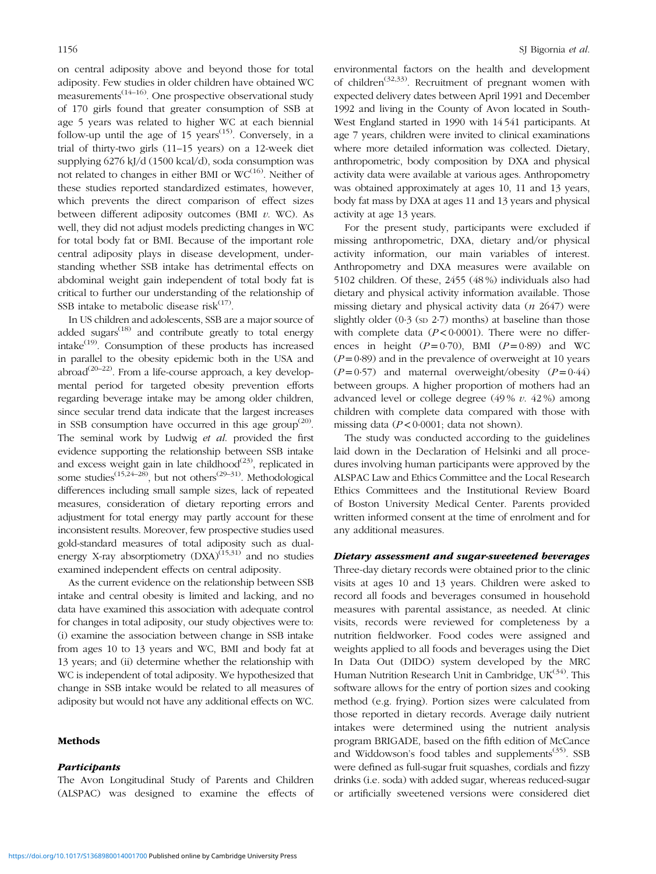on central adiposity above and beyond those for total adiposity. Few studies in older children have obtained WC measurements $(14-16)$  $(14-16)$  $(14-16)$  $(14-16)$  $(14-16)$ . One prospective observational study of 170 girls found that greater consumption of SSB at age 5 years was related to higher WC at each biennial follow-up until the age of 15 years<sup> $(15)$ </sup>. Conversely, in a trial of thirty-two girls (11–15 years) on a 12-week diet supplying 6276 kJ/d (1500 kcal/d), soda consumption was not related to changes in either BMI or  $WC^{(16)}$  $WC^{(16)}$  $WC^{(16)}$ . Neither of these studies reported standardized estimates, however, which prevents the direct comparison of effect sizes between different adiposity outcomes (BMI  $v$ . WC). As well, they did not adjust models predicting changes in WC for total body fat or BMI. Because of the important role central adiposity plays in disease development, understanding whether SSB intake has detrimental effects on abdominal weight gain independent of total body fat is critical to further our understanding of the relationship of SSB intake to metabolic disease risk $(17)$  $(17)$ .

In US children and adolescents, SSB are a major source of added sugars $^{(18)}$  $^{(18)}$  $^{(18)}$  and contribute greatly to total energy intake([19\)](#page-7-0). Consumption of these products has increased in parallel to the obesity epidemic both in the USA and  $\arccos(20-22)$  $\arccos(20-22)$  $\arccos(20-22)$  $\arccos(20-22)$  $\arccos(20-22)$ . From a life-course approach, a key developmental period for targeted obesity prevention efforts regarding beverage intake may be among older children, since secular trend data indicate that the largest increases in SSB consumption have occurred in this age group<sup> $(20)$  $(20)$ </sup>. The seminal work by Ludwig et al. provided the first evidence supporting the relationship between SSB intake and excess weight gain in late childhood<sup> $(23)$  $(23)$ </sup>, replicated in some studies<sup> $(15,24-28)$  $(15,24-28)$  $(15,24-28)$  $(15,24-28)$  $(15,24-28)$  $(15,24-28)$ </sup>, but not others<sup> $(29-31)$  $(29-31)$  $(29-31)$  $(29-31)$ </sup>. Methodological differences including small sample sizes, lack of repeated measures, consideration of dietary reporting errors and adjustment for total energy may partly account for these inconsistent results. Moreover, few prospective studies used gold-standard measures of total adiposity such as dualenergy X-ray absorptiometry  $(DXA)^{(15,31)}$  $(DXA)^{(15,31)}$  $(DXA)^{(15,31)}$  and no studies examined independent effects on central adiposity.

As the current evidence on the relationship between SSB intake and central obesity is limited and lacking, and no data have examined this association with adequate control for changes in total adiposity, our study objectives were to: (i) examine the association between change in SSB intake from ages 10 to 13 years and WC, BMI and body fat at 13 years; and (ii) determine whether the relationship with WC is independent of total adiposity. We hypothesized that change in SSB intake would be related to all measures of adiposity but would not have any additional effects on WC.

#### Methods

#### **Participants**

The Avon Longitudinal Study of Parents and Children (ALSPAC) was designed to examine the effects of environmental factors on the health and development of children<sup> $(32,33)$  $(32,33)$ </sup>. Recruitment of pregnant women with expected delivery dates between April 1991 and December 1992 and living in the County of Avon located in South-West England started in 1990 with 14 541 participants. At age 7 years, children were invited to clinical examinations where more detailed information was collected. Dietary, anthropometric, body composition by DXA and physical activity data were available at various ages. Anthropometry was obtained approximately at ages 10, 11 and 13 years, body fat mass by DXA at ages 11 and 13 years and physical activity at age 13 years.

For the present study, participants were excluded if missing anthropometric, DXA, dietary and/or physical activity information, our main variables of interest. Anthropometry and DXA measures were available on 5102 children. Of these, 2455 (48 %) individuals also had dietary and physical activity information available. Those missing dietary and physical activity data  $(n \t2647)$  were slightly older  $(0.3 \text{ (s}D 2.7)$  months) at baseline than those with complete data  $(P<0.0001)$ . There were no differences in height  $(P=0.70)$ , BMI  $(P=0.89)$  and WC  $(P=0.89)$  and in the prevalence of overweight at 10 years  $(P=0.57)$  and maternal overweight/obesity  $(P=0.44)$ between groups. A higher proportion of mothers had an advanced level or college degree  $(49\% v. 42\%)$  among children with complete data compared with those with missing data ( $P < 0.0001$ ; data not shown).

The study was conducted according to the guidelines laid down in the Declaration of Helsinki and all procedures involving human participants were approved by the ALSPAC Law and Ethics Committee and the Local Research Ethics Committees and the Institutional Review Board of Boston University Medical Center. Parents provided written informed consent at the time of enrolment and for any additional measures.

## Dietary assessment and sugar-sweetened beverages

Three-day dietary records were obtained prior to the clinic visits at ages 10 and 13 years. Children were asked to record all foods and beverages consumed in household measures with parental assistance, as needed. At clinic visits, records were reviewed for completeness by a nutrition fieldworker. Food codes were assigned and weights applied to all foods and beverages using the Diet In Data Out (DIDO) system developed by the MRC Human Nutrition Research Unit in Cambridge,  $UK^{(34)}$  $UK^{(34)}$  $UK^{(34)}$ . This software allows for the entry of portion sizes and cooking method (e.g. frying). Portion sizes were calculated from those reported in dietary records. Average daily nutrient intakes were determined using the nutrient analysis program BRIGADE, based on the fifth edition of McCance and Widdowson's food tables and supplements<sup> $(35)$  $(35)$ </sup>. SSB were defined as full-sugar fruit squashes, cordials and fizzy drinks (i.e. soda) with added sugar, whereas reduced-sugar or artificially sweetened versions were considered diet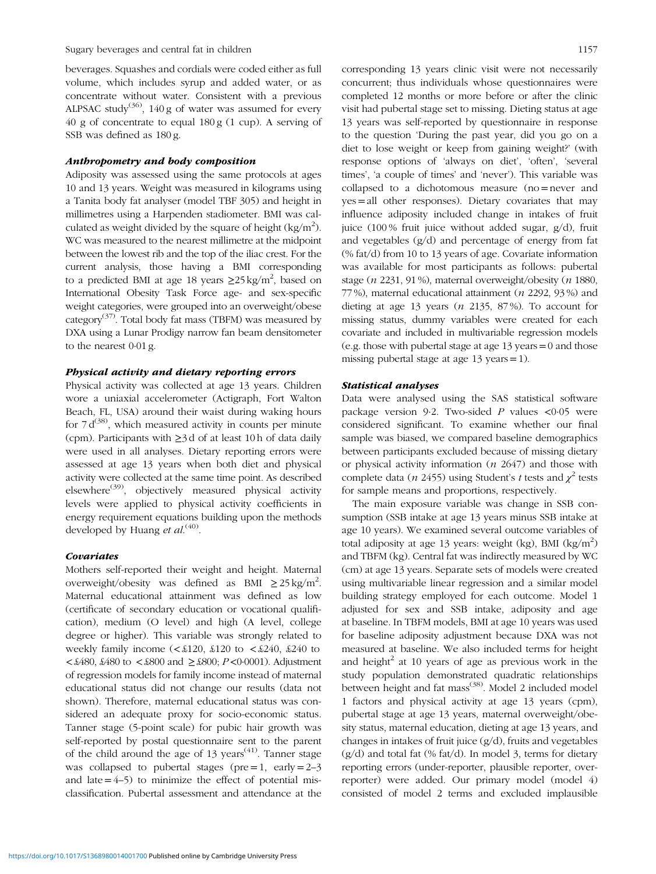beverages. Squashes and cordials were coded either as full volume, which includes syrup and added water, or as concentrate without water. Consistent with a previous ALPSAC study<sup>[\(36](#page-7-0))</sup>, 140 g of water was assumed for every 40 g of concentrate to equal 180 g (1 cup). A serving of SSB was defined as 180 g.

## Anthropometry and body composition

Adiposity was assessed using the same protocols at ages 10 and 13 years. Weight was measured in kilograms using a Tanita body fat analyser (model TBF 305) and height in millimetres using a Harpenden stadiometer. BMI was calculated as weight divided by the square of height  $\frac{kg}{m^2}$ . WC was measured to the nearest millimetre at the midpoint between the lowest rib and the top of the iliac crest. For the current analysis, those having a BMI corresponding to a predicted BMI at age 18 years  $\geq$ 25 kg/m<sup>2</sup>, based on International Obesity Task Force age- and sex-specific weight categories, were grouped into an overweight/obese category<sup>[\(37](#page-7-0))</sup>. Total body fat mass (TBFM) was measured by DXA using a Lunar Prodigy narrow fan beam densitometer to the nearest 0·01 g.

## Physical activity and dietary reporting errors

Physical activity was collected at age 13 years. Children wore a uniaxial accelerometer (Actigraph, Fort Walton Beach, FL, USA) around their waist during waking hours for  $7 d^{(38)}$  $7 d^{(38)}$  $7 d^{(38)}$ , which measured activity in counts per minute (cpm). Participants with ≥3 d of at least 10 h of data daily were used in all analyses. Dietary reporting errors were assessed at age 13 years when both diet and physical activity were collected at the same time point. As described elsewhere<sup>([39\)](#page-8-0)</sup>, objectively measured physical activity levels were applied to physical activity coefficients in energy requirement equations building upon the methods developed by Huang et al.<sup>([40\)](#page-8-0)</sup>.

## Covariates

Mothers self-reported their weight and height. Maternal overweight/obesity was defined as BMI  $\geq 25 \text{ kg/m}^2$ . Maternal educational attainment was defined as low (certificate of secondary education or vocational qualification), medium (O level) and high (A level, college degree or higher). This variable was strongly related to weekly family income  $\langle \textless 120, \textless 120 \text{ to } \textless 1240, \textless 240 \text{ to } \rangle$ <£480, £480 to <£800 and ≥£800; P<0·0001). Adjustment of regression models for family income instead of maternal educational status did not change our results (data not shown). Therefore, maternal educational status was considered an adequate proxy for socio-economic status. Tanner stage (5-point scale) for pubic hair growth was self-reported by postal questionnaire sent to the parent of the child around the age of 13 years<sup> $(41)$  $(41)$ </sup>. Tanner stage was collapsed to pubertal stages ( $pre = 1$ ,  $early = 2-3$ and late  $=4-5$ ) to minimize the effect of potential misclassification. Pubertal assessment and attendance at the corresponding 13 years clinic visit were not necessarily concurrent; thus individuals whose questionnaires were completed 12 months or more before or after the clinic visit had pubertal stage set to missing. Dieting status at age 13 years was self-reported by questionnaire in response to the question 'During the past year, did you go on a diet to lose weight or keep from gaining weight?' (with response options of 'always on diet', 'often', 'several times', 'a couple of times' and 'never'). This variable was collapsed to a dichotomous measure (no=never and yes=all other responses). Dietary covariates that may influence adiposity included change in intakes of fruit juice (100 % fruit juice without added sugar, g/d), fruit and vegetables (g/d) and percentage of energy from fat (% fat/d) from 10 to 13 years of age. Covariate information was available for most participants as follows: pubertal stage (n 2231, 91 %), maternal overweight/obesity (n 1880, 77 %), maternal educational attainment (n 2292, 93 %) and dieting at age 13 years  $(n 2135, 87\%)$ . To account for missing status, dummy variables were created for each covariate and included in multivariable regression models (e.g. those with pubertal stage at age 13 years=0 and those missing pubertal stage at age 13 years=1).

## Statistical analyses

Data were analysed using the SAS statistical software package version 9-2. Two-sided  $P$  values <0.05 were considered significant. To examine whether our final sample was biased, we compared baseline demographics between participants excluded because of missing dietary or physical activity information  $(n \t2647)$  and those with complete data (*n* 2455) using Student's *t* tests and  $\chi^2$  tests for sample means and proportions, respectively.

The main exposure variable was change in SSB consumption (SSB intake at age 13 years minus SSB intake at age 10 years). We examined several outcome variables of total adiposity at age 13 years: weight (kg), BMI (kg/m<sup>2</sup>) and TBFM (kg). Central fat was indirectly measured by WC (cm) at age 13 years. Separate sets of models were created using multivariable linear regression and a similar model building strategy employed for each outcome. Model 1 adjusted for sex and SSB intake, adiposity and age at baseline. In TBFM models, BMI at age 10 years was used for baseline adiposity adjustment because DXA was not measured at baseline. We also included terms for height and height<sup>2</sup> at 10 years of age as previous work in the study population demonstrated quadratic relationships between height and fat mass<sup>[\(38](#page-7-0))</sup>. Model 2 included model 1 factors and physical activity at age 13 years (cpm), pubertal stage at age 13 years, maternal overweight/obesity status, maternal education, dieting at age 13 years, and changes in intakes of fruit juice (g/d), fruits and vegetables  $(g/d)$  and total fat  $(\%$  fat/d). In model 3, terms for dietary reporting errors (under-reporter, plausible reporter, overreporter) were added. Our primary model (model 4) consisted of model 2 terms and excluded implausible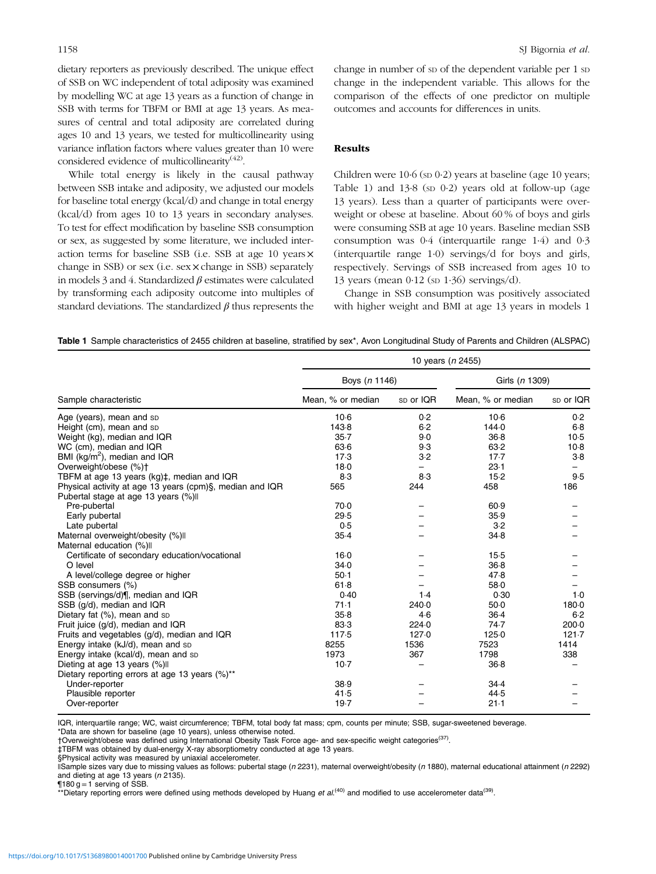dietary reporters as previously described. The unique effect of SSB on WC independent of total adiposity was examined by modelling WC at age 13 years as a function of change in SSB with terms for TBFM or BMI at age 13 years. As measures of central and total adiposity are correlated during ages 10 and 13 years, we tested for multicollinearity using variance inflation factors where values greater than 10 were considered evidence of multicollinearity $(42)$ .

While total energy is likely in the causal pathway between SSB intake and adiposity, we adjusted our models for baseline total energy (kcal/d) and change in total energy (kcal/d) from ages 10 to 13 years in secondary analyses. To test for effect modification by baseline SSB consumption or sex, as suggested by some literature, we included interaction terms for baseline SSB (i.e. SSB at age 10 years× change in SSB) or sex (i.e. sex×change in SSB) separately in models 3 and 4. Standardized  $\beta$  estimates were calculated by transforming each adiposity outcome into multiples of standard deviations. The standardized  $\beta$  thus represents the change in number of sp of the dependent variable per 1 sp change in the independent variable. This allows for the comparison of the effects of one predictor on multiple outcomes and accounts for differences in units.

# Results

Children were  $10.6$  (sp  $0.2$ ) years at baseline (age 10 years; Table 1) and  $13.8$  (sp  $0.2$ ) years old at follow-up (age 13 years). Less than a quarter of participants were overweight or obese at baseline. About 60 % of boys and girls were consuming SSB at age 10 years. Baseline median SSB consumption was 0·4 (interquartile range 1·4) and 0·3 (interquartile range 1·0) servings/d for boys and girls, respectively. Servings of SSB increased from ages 10 to 13 years (mean 0·12 (SD 1·36) servings/d).

Change in SSB consumption was positively associated with higher weight and BMI at age 13 years in models 1

Table 1 Sample characteristics of 2455 children at baseline, stratified by sex\*, Avon Longitudinal Study of Parents and Children (ALSPAC)

|                                                          | 10 years (n 2455) |           |                   |           |  |  |
|----------------------------------------------------------|-------------------|-----------|-------------------|-----------|--|--|
|                                                          | Boys (n 1146)     |           | Girls (n 1309)    |           |  |  |
| Sample characteristic                                    | Mean, % or median | sp or IQR | Mean, % or median | sp or IQR |  |  |
| Age (years), mean and sp                                 | $10-6$            | 0.2       | $10-6$            | 0.2       |  |  |
| Height (cm), mean and sp                                 | 143.8             | 6.2       | 144.0             | $6-8$     |  |  |
| Weight (kg), median and IQR                              | 35.7              | 9.0       | 36.8              | 10.5      |  |  |
| WC (cm), median and IQR                                  | 63.6              | 9.3       | 63.2              | $10-8$    |  |  |
| BMI ( $kq/m^2$ ), median and IQR                         | 17.3              | 3.2       | $17-7$            | $3-8$     |  |  |
| Overweight/obese (%)+                                    | 18.0              |           | 23.1              |           |  |  |
| TBFM at age 13 years (kg)‡, median and IQR               | 8.3               | 8.3       | 15.2              | 9.5       |  |  |
| Physical activity at age 13 years (cpm)§, median and IQR | 565               | 244       | 458               | 186       |  |  |
| Pubertal stage at age 13 years (%) II                    |                   |           |                   |           |  |  |
| Pre-pubertal                                             | 70.0              |           | 60.9              |           |  |  |
| Early pubertal                                           | 29.5              |           | 35.9              |           |  |  |
| Late pubertal                                            | 0.5               |           | 3.2               |           |  |  |
| Maternal overweight/obesity (%) II                       | 35.4              |           | 34.8              |           |  |  |
| Maternal education (%) II                                |                   |           |                   |           |  |  |
| Certificate of secondary education/vocational            | $16-0$            |           | $15-5$            |           |  |  |
| O level                                                  | 34.0              |           | 36.8              |           |  |  |
| A level/college degree or higher                         | 50.1              |           | 47.8              |           |  |  |
| SSB consumers (%)                                        | 61.8              |           | 58.0              |           |  |  |
| SSB (servings/d) [, median and IQR                       | 0.40              | 1.4       | 0.30              | $1-0$     |  |  |
| SSB (g/d), median and IQR                                | 71.1              | 240.0     | 50.0              | 180.0     |  |  |
| Dietary fat (%), mean and sp                             | 35.8              | 4.6       | 36.4              | 6.2       |  |  |
| Fruit juice (q/d), median and IQR                        | 83.3              | 224.0     | 74.7              | 200.0     |  |  |
| Fruits and vegetables (g/d), median and IQR              | 117.5             | 127.0     | 125.0             | 121.7     |  |  |
| Energy intake (kJ/d), mean and sp                        | 8255              | 1536      | 7523              | 1414      |  |  |
| Energy intake (kcal/d), mean and sp                      | 1973              | 367       | 1798              | 338       |  |  |
| Dieting at age 13 years (%) II                           | $10-7$            |           | 36.8              |           |  |  |
| Dietary reporting errors at age 13 years (%)**           |                   |           |                   |           |  |  |
| Under-reporter                                           | 38.9              |           | 34.4              |           |  |  |
| Plausible reporter                                       | 41.5              |           | 44.5              |           |  |  |
| Over-reporter                                            | 19.7              |           | $21-1$            |           |  |  |

IQR, interquartile range; WC, waist circumference; TBFM, total body fat mass; cpm, counts per minute; SSB, sugar-sweetened beverage.

\*Data are shown for baseline (age 10 years), unless otherwise noted.

†Overweight/obese was defined using International Obesity Task Force age- and sex-specific weight categories([37\)](#page-7-0).

‡TBFM was obtained by dual-energy X-ray absorptiometry conducted at age 13 years.

§Physical activity was measured by uniaxial accelerometer.

||Sample sizes vary due to missing values as follows: pubertal stage (n 2231), maternal overweight/obesity (n 1880), maternal educational attainment (n 2292) and dieting at age 13 years (n 2135).

 $\P$ 180 g = 1 serving of SSB.

\*\*Dietary reporting errors were defined using methods developed by Huang et  $al^{(40)}$  $al^{(40)}$  $al^{(40)}$  and modified to use accelerometer data<sup>([39](#page-8-0))</sup>.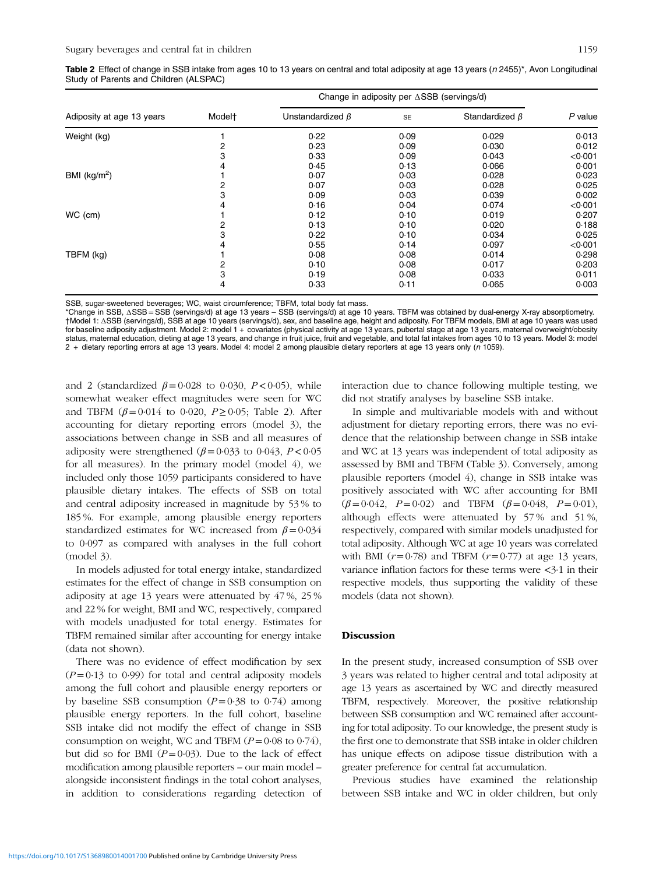| Table 2 Effect of change in SSB intake from ages 10 to 13 years on central and total adiposity at age 13 years (n 2455)*, Avon Longitudinal |  |  |
|---------------------------------------------------------------------------------------------------------------------------------------------|--|--|
| Study of Parents and Children (ALSPAC)                                                                                                      |  |  |

| Adiposity at age 13 years |                    | Change in adiposity per $\triangle$ SSB (servings/d) |      |                      |         |
|---------------------------|--------------------|------------------------------------------------------|------|----------------------|---------|
|                           | Model <sup>+</sup> | Unstandardized $\beta$                               | SE   | Standardized $\beta$ | P value |
| Weight (kg)               |                    | 0.22                                                 | 0.09 | 0.029                | 0.013   |
|                           | 2                  | 0.23                                                 | 0.09 | 0.030                | 0.012   |
|                           | 3                  | 0.33                                                 | 0.09 | 0.043                | < 0.001 |
|                           | 4                  | 0.45                                                 | 0.13 | 0.066                | 0.001   |
| BMI ( $kg/m2$ )           |                    | 0.07                                                 | 0.03 | 0.028                | 0.023   |
|                           | 2                  | 0.07                                                 | 0.03 | 0.028                | 0.025   |
|                           | 3                  | 0.09                                                 | 0.03 | 0.039                | 0.002   |
|                           |                    | 0.16                                                 | 0.04 | 0.074                | < 0.001 |
| WC (cm)                   |                    | 0.12                                                 | 0.10 | 0.019                | 0.207   |
|                           | 2                  | 0.13                                                 | 0.10 | 0.020                | 0.188   |
|                           | 3                  | 0.22                                                 | 0.10 | 0.034                | 0.025   |
|                           | 4                  | 0.55                                                 | 0.14 | 0.097                | < 0.001 |
| TBFM (kg)                 |                    | 0.08                                                 | 0.08 | 0.014                | 0.298   |
|                           | 2                  | 0.10                                                 | 0.08 | 0.017                | 0.203   |
|                           | 3                  | 0.19                                                 | 0.08 | 0.033                | 0.011   |
|                           | 4                  | 0.33                                                 | 0.11 | 0.065                | 0.003   |

SSB, sugar-sweetened beverages; WC, waist circumference; TBFM, total body fat mass.

\*Change in SSB, ΔSSB =SSB (servings/d) at age 13 years – SSB (servings/d) at age 10 years. TBFM was obtained by dual-energy X-ray absorptiometry. †Model 1: ΔSSB (servings/d), SSB at age 10 years (servings/d), sex, and baseline age, height and adiposity. For TBFM models, BMI at age 10 years was used for baseline adiposity adjustment. Model 2: model 1 + covariates (physical activity at age 13 years, pubertal stage at age 13 years, maternal overweight/obesity status, maternal education, dieting at age 13 years, and change in fruit juice, fruit and vegetable, and total fat intakes from ages 10 to 13 years. Model 3: model 2 + dietary reporting errors at age 13 years. Model 4: model 2 among plausible dietary reporters at age 13 years only (n 1059).

and 2 (standardized  $\beta = 0.028$  to 0.030,  $P < 0.05$ ), while somewhat weaker effect magnitudes were seen for WC and TBFM ( $\beta = 0.014$  to 0.020,  $P \ge 0.05$ ; Table 2). After accounting for dietary reporting errors (model 3), the associations between change in SSB and all measures of adiposity were strengthened  $(\beta = 0.033$  to 0.043,  $P < 0.05$ for all measures). In the primary model (model 4), we included only those 1059 participants considered to have plausible dietary intakes. The effects of SSB on total and central adiposity increased in magnitude by 53 % to 185 %. For example, among plausible energy reporters standardized estimates for WC increased from  $\beta = 0.034$ to 0·097 as compared with analyses in the full cohort (model 3).

In models adjusted for total energy intake, standardized estimates for the effect of change in SSB consumption on adiposity at age 13 years were attenuated by 47 %, 25 % and 22 % for weight, BMI and WC, respectively, compared with models unadjusted for total energy. Estimates for TBFM remained similar after accounting for energy intake (data not shown).

There was no evidence of effect modification by sex  $(P=0.13$  to 0.99) for total and central adiposity models among the full cohort and plausible energy reporters or by baseline SSB consumption  $(P=0.38 \text{ to } 0.74)$  among plausible energy reporters. In the full cohort, baseline SSB intake did not modify the effect of change in SSB consumption on weight, WC and TBFM  $(P=0.08 \text{ to } 0.74)$ , but did so for BMI  $(P=0.03)$ . Due to the lack of effect modification among plausible reporters – our main model – alongside inconsistent findings in the total cohort analyses, in addition to considerations regarding detection of interaction due to chance following multiple testing, we did not stratify analyses by baseline SSB intake.

In simple and multivariable models with and without adjustment for dietary reporting errors, there was no evidence that the relationship between change in SSB intake and WC at 13 years was independent of total adiposity as assessed by BMI and TBFM [\(Table 3](#page-5-0)). Conversely, among plausible reporters (model 4), change in SSB intake was positively associated with WC after accounting for BMI  $(\beta = 0.042, P = 0.02)$  and TBFM  $(\beta = 0.048, P = 0.01)$ , although effects were attenuated by 57 % and 51 %, respectively, compared with similar models unadjusted for total adiposity. Although WC at age 10 years was correlated with BMI  $(r=0.78)$  and TBFM  $(r=0.77)$  at age 13 years, variance inflation factors for these terms were <3·1 in their respective models, thus supporting the validity of these models (data not shown).

#### Discussion

In the present study, increased consumption of SSB over 3 years was related to higher central and total adiposity at age 13 years as ascertained by WC and directly measured TBFM, respectively. Moreover, the positive relationship between SSB consumption and WC remained after accounting for total adiposity. To our knowledge, the present study is the first one to demonstrate that SSB intake in older children has unique effects on adipose tissue distribution with a greater preference for central fat accumulation.

Previous studies have examined the relationship between SSB intake and WC in older children, but only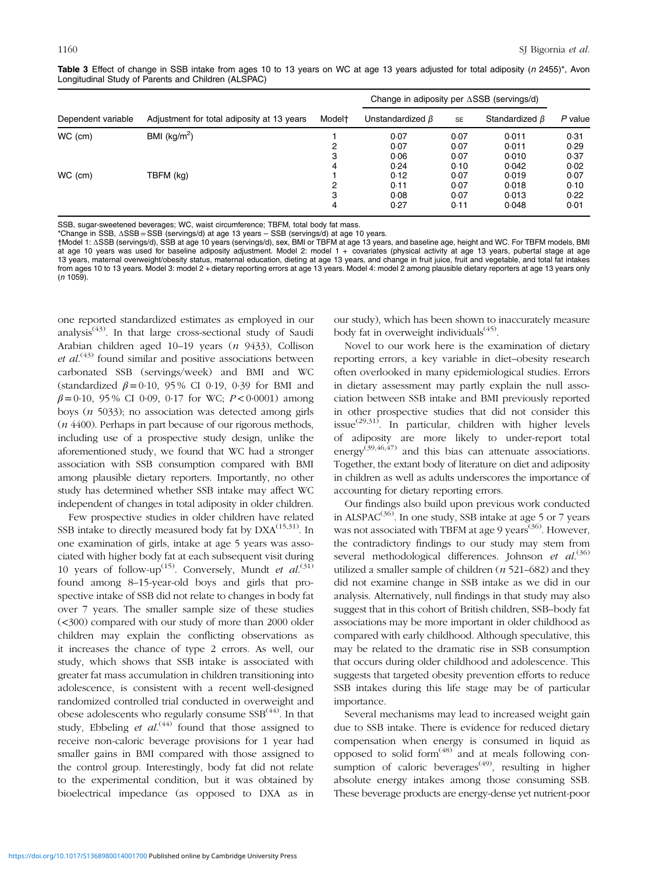| Dependent variable       | Adjustment for total adiposity at 13 years | Model <sup>+</sup> | Change in adiposity per $\triangle$ SSB (servings/d) |           |                      |         |
|--------------------------|--------------------------------------------|--------------------|------------------------------------------------------|-----------|----------------------|---------|
|                          |                                            |                    | Unstandardized $\beta$                               | <b>SE</b> | Standardized $\beta$ | P value |
| BMI $(kg/m2)$<br>WC (cm) |                                            |                    | 0.07                                                 | 0.07      | 0.011                | 0.31    |
|                          |                                            | 2                  | 0.07                                                 | 0.07      | 0.011                | 0.29    |
|                          |                                            | 3                  | 0.06                                                 | 0.07      | 0.010                | 0.37    |
|                          |                                            | 4                  | 0.24                                                 | 0.10      | 0.042                | 0.02    |
| WC (cm)<br>TBFM (kg)     |                                            |                    | 0.12                                                 | 0.07      | 0.019                | 0.07    |
|                          |                                            | 2                  | 0.11                                                 | 0.07      | 0.018                | 0.10    |
|                          |                                            | 3                  | 0.08                                                 | 0.07      | 0.013                | 0.22    |
|                          |                                            | 4                  | 0.27                                                 | 0.11      | 0.048                | 0.01    |

<span id="page-5-0"></span>Table 3 Effect of change in SSB intake from ages 10 to 13 years on WC at age 13 years adjusted for total adiposity (n 2455)\*, Avon Longitudinal Study of Parents and Children (ALSPAC)

SSB, sugar-sweetened beverages; WC, waist circumference; TBFM, total body fat mass.

\*Change in SSB, ΔSSB =SSB (servings/d) at age 13 years – SSB (servings/d) at age 10 years.

†Model 1: ΔSSB (servings/d), SSB at age 10 years (servings/d), sex, BMI or TBFM at age 13 years, and baseline age, height and WC. For TBFM models, BMI at age 10 years was used for baseline adiposity adjustment. Model 2: model 1 + covariates (physical activity at age 13 years, pubertal stage at age 13 years, maternal overweight/obesity status, maternal education, dieting at age 13 years, and change in fruit juice, fruit and vegetable, and total fat intakes from ages 10 to 13 years. Model 3: model 2 + dietary reporting errors at age 13 years. Model 4: model 2 among plausible dietary reporters at age 13 years only  $(n 1059)$ .

one reported standardized estimates as employed in our analysis<sup> $(43)$  $(43)$ </sup>. In that large cross-sectional study of Saudi Arabian children aged 10–19 years (n 9433), Collison et  $al^{(43)}$  $al^{(43)}$  $al^{(43)}$  found similar and positive associations between carbonated SSB (servings/week) and BMI and WC (standardized  $\beta = 0.10$ , 95% CI 0.19, 0.39 for BMI and  $\beta = 0.10$ , 95 % CI 0.09, 0.17 for WC;  $P < 0.0001$ ) among boys ( $n$  5033); no association was detected among girls (n 4400). Perhaps in part because of our rigorous methods, including use of a prospective study design, unlike the aforementioned study, we found that WC had a stronger association with SSB consumption compared with BMI among plausible dietary reporters. Importantly, no other study has determined whether SSB intake may affect WC independent of changes in total adiposity in older children.

Few prospective studies in older children have related SSB intake to directly measured body fat by  $DXA^{(15,31)}$  $DXA^{(15,31)}$  $DXA^{(15,31)}$  $DXA^{(15,31)}$  $DXA^{(15,31)}$ . In one examination of girls, intake at age 5 years was associated with higher body fat at each subsequent visit during 10 years of follow-up<sup>([15](#page-7-0))</sup>. Conversely, Mundt et  $al$ .<sup>[\(31](#page-7-0))</sup> found among 8–15-year-old boys and girls that prospective intake of SSB did not relate to changes in body fat over 7 years. The smaller sample size of these studies (<300) compared with our study of more than 2000 older children may explain the conflicting observations as it increases the chance of type 2 errors. As well, our study, which shows that SSB intake is associated with greater fat mass accumulation in children transitioning into adolescence, is consistent with a recent well-designed randomized controlled trial conducted in overweight and obese adolescents who regularly consume  $SSB<sup>(44)</sup>$  $SSB<sup>(44)</sup>$  $SSB<sup>(44)</sup>$ . In that study, Ebbeling et  $al^{(44)}$  $al^{(44)}$  $al^{(44)}$  found that those assigned to receive non-caloric beverage provisions for 1 year had smaller gains in BMI compared with those assigned to the control group. Interestingly, body fat did not relate to the experimental condition, but it was obtained by bioelectrical impedance (as opposed to DXA as in

our study), which has been shown to inaccurately measure body fat in overweight individuals $(45)$  $(45)$  $(45)$ .

Novel to our work here is the examination of dietary reporting errors, a key variable in diet–obesity research often overlooked in many epidemiological studies. Errors in dietary assessment may partly explain the null association between SSB intake and BMI previously reported in other prospective studies that did not consider this issue<sup>([29,31\)](#page-7-0)</sup>. In particular, children with higher levels of adiposity are more likely to under-report total energy<sup>[\(39,46](#page-8-0),[47](#page-8-0))</sup> and this bias can attenuate associations. Together, the extant body of literature on diet and adiposity in children as well as adults underscores the importance of accounting for dietary reporting errors.

Our findings also build upon previous work conducted in ALSPAC<sup> $(36)$  $(36)$ </sup>. In one study, SSB intake at age 5 or 7 years was not associated with TBFM at age 9 years<sup> $(36)$  $(36)$ </sup>. However, the contradictory findings to our study may stem from several methodological differences. Johnson et al.<sup>[\(36](#page-7-0))</sup> utilized a smaller sample of children  $(n 521-682)$  and they did not examine change in SSB intake as we did in our analysis. Alternatively, null findings in that study may also suggest that in this cohort of British children, SSB–body fat associations may be more important in older childhood as compared with early childhood. Although speculative, this may be related to the dramatic rise in SSB consumption that occurs during older childhood and adolescence. This suggests that targeted obesity prevention efforts to reduce SSB intakes during this life stage may be of particular importance.

Several mechanisms may lead to increased weight gain due to SSB intake. There is evidence for reduced dietary compensation when energy is consumed in liquid as opposed to solid form $(48)$  $(48)$  and at meals following consumption of caloric beverages<sup> $(49)$  $(49)$ </sup>, resulting in higher absolute energy intakes among those consuming SSB. These beverage products are energy-dense yet nutrient-poor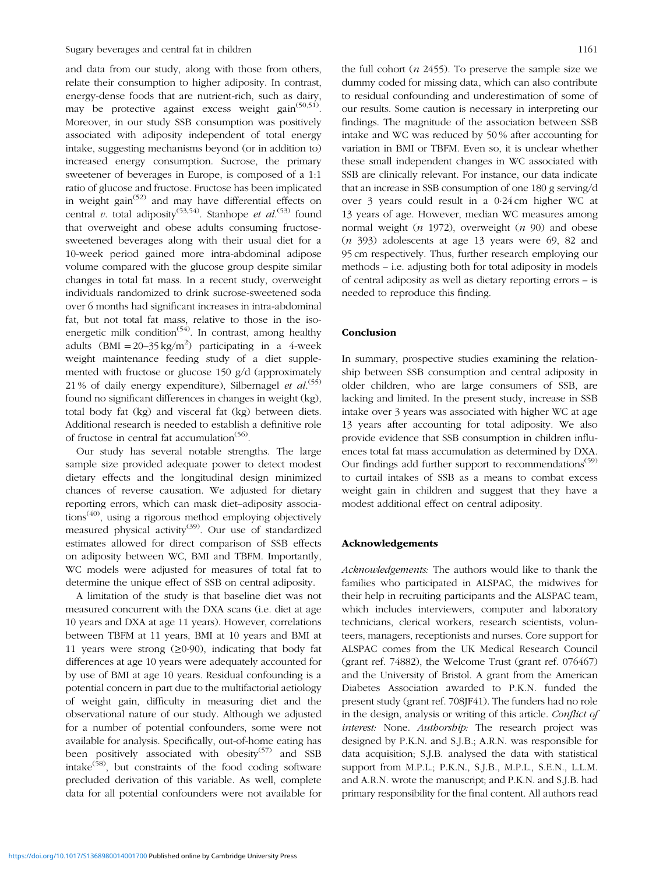and data from our study, along with those from others, relate their consumption to higher adiposity. In contrast, energy-dense foods that are nutrient-rich, such as dairy, may be protective against excess weight gain $(50,51)$  $(50,51)$ . Moreover, in our study SSB consumption was positively associated with adiposity independent of total energy intake, suggesting mechanisms beyond (or in addition to) increased energy consumption. Sucrose, the primary sweetener of beverages in Europe, is composed of a 1:1 ratio of glucose and fructose. Fructose has been implicated in weight gain<sup> $(52)$  $(52)$ </sup> and may have differential effects on central v. total adiposity<sup>([53,54\)](#page-8-0)</sup>. Stanhope et  $al$ <sup>[\(53](#page-8-0))</sup> found that overweight and obese adults consuming fructosesweetened beverages along with their usual diet for a 10-week period gained more intra-abdominal adipose volume compared with the glucose group despite similar changes in total fat mass. In a recent study, overweight individuals randomized to drink sucrose-sweetened soda over 6 months had significant increases in intra-abdominal fat, but not total fat mass, relative to those in the isoenergetic milk condition<sup> $(54)$  $(54)$ </sup>. In contrast, among healthy adults  $(BMI = 20-35 \text{ kg/m}^2)$  participating in a 4-week weight maintenance feeding study of a diet supplemented with fructose or glucose 150 g/d (approximately 21% of daily energy expenditure), Silbernagel et  $al$ .<sup>[\(55](#page-8-0))</sup> found no significant differences in changes in weight (kg), total body fat (kg) and visceral fat (kg) between diets. Additional research is needed to establish a definitive role of fructose in central fat accumulation<sup>[\(56\)](#page-8-0)</sup>.

Our study has several notable strengths. The large sample size provided adequate power to detect modest dietary effects and the longitudinal design minimized chances of reverse causation. We adjusted for dietary reporting errors, which can mask diet–adiposity associa- $tions<sup>(40)</sup>$  $tions<sup>(40)</sup>$  $tions<sup>(40)</sup>$ , using a rigorous method employing objectively measured physical activity<sup>([39\)](#page-8-0)</sup>. Our use of standardized estimates allowed for direct comparison of SSB effects on adiposity between WC, BMI and TBFM. Importantly, WC models were adjusted for measures of total fat to determine the unique effect of SSB on central adiposity.

A limitation of the study is that baseline diet was not measured concurrent with the DXA scans (i.e. diet at age 10 years and DXA at age 11 years). However, correlations between TBFM at 11 years, BMI at 10 years and BMI at 11 years were strong  $(≥0.90)$ , indicating that body fat differences at age 10 years were adequately accounted for by use of BMI at age 10 years. Residual confounding is a potential concern in part due to the multifactorial aetiology of weight gain, difficulty in measuring diet and the observational nature of our study. Although we adjusted for a number of potential confounders, some were not available for analysis. Specifically, out-of-home eating has been positively associated with obesity<sup>[\(57](#page-8-0))</sup> and SSB intake<sup>[\(58\)](#page-8-0)</sup>, but constraints of the food coding software precluded derivation of this variable. As well, complete data for all potential confounders were not available for the full cohort  $(n 2455)$ . To preserve the sample size we dummy coded for missing data, which can also contribute to residual confounding and underestimation of some of our results. Some caution is necessary in interpreting our findings. The magnitude of the association between SSB intake and WC was reduced by 50 % after accounting for variation in BMI or TBFM. Even so, it is unclear whether these small independent changes in WC associated with SSB are clinically relevant. For instance, our data indicate that an increase in SSB consumption of one 180 g serving/d over 3 years could result in a 0·24 cm higher WC at 13 years of age. However, median WC measures among normal weight  $(n 1972)$ , overweight  $(n 90)$  and obese (n 393) adolescents at age 13 years were 69, 82 and 95 cm respectively. Thus, further research employing our methods – i.e. adjusting both for total adiposity in models of central adiposity as well as dietary reporting errors – is needed to reproduce this finding.

#### Conclusion

In summary, prospective studies examining the relationship between SSB consumption and central adiposity in older children, who are large consumers of SSB, are lacking and limited. In the present study, increase in SSB intake over 3 years was associated with higher WC at age 13 years after accounting for total adiposity. We also provide evidence that SSB consumption in children influences total fat mass accumulation as determined by DXA. Our findings add further support to recommendations<sup>[\(59](#page-8-0))</sup> to curtail intakes of SSB as a means to combat excess weight gain in children and suggest that they have a modest additional effect on central adiposity.

#### Acknowledgements

Acknowledgements: The authors would like to thank the families who participated in ALSPAC, the midwives for their help in recruiting participants and the ALSPAC team, which includes interviewers, computer and laboratory technicians, clerical workers, research scientists, volunteers, managers, receptionists and nurses. Core support for ALSPAC comes from the UK Medical Research Council (grant ref. 74882), the Welcome Trust (grant ref. 076467) and the University of Bristol. A grant from the American Diabetes Association awarded to P.K.N. funded the present study (grant ref. 708JF41). The funders had no role in the design, analysis or writing of this article. Conflict of interest: None. Authorship: The research project was designed by P.K.N. and S.J.B.; A.R.N. was responsible for data acquisition; S.J.B. analysed the data with statistical support from M.P.L.; P.K.N., S.J.B., M.P.L., S.E.N., L.L.M. and A.R.N. wrote the manuscript; and P.K.N. and S.J.B. had primary responsibility for the final content. All authors read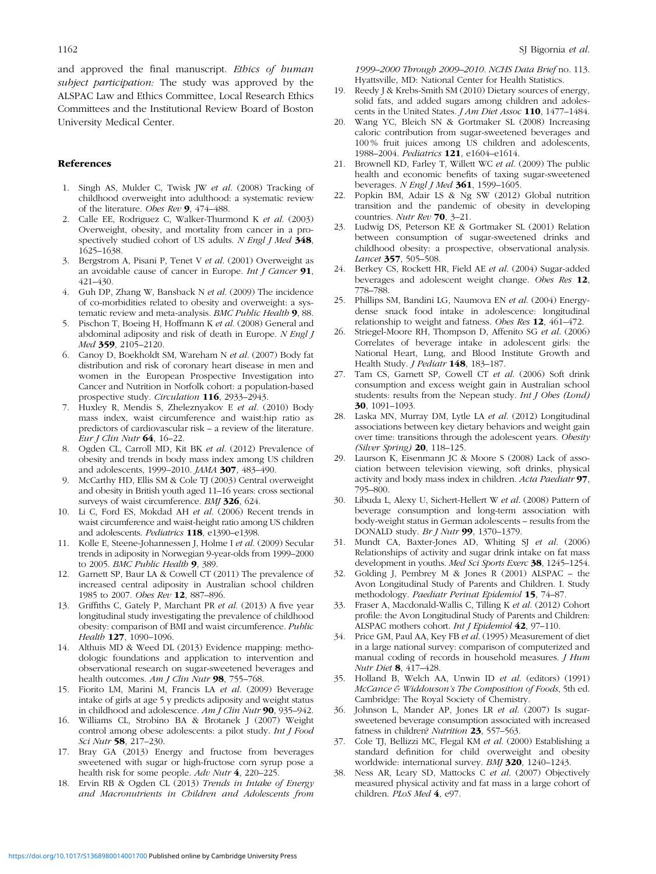<span id="page-7-0"></span>and approved the final manuscript. Ethics of human subject participation: The study was approved by the ALSPAC Law and Ethics Committee, Local Research Ethics Committees and the Institutional Review Board of Boston University Medical Center.

## References

- 1. Singh AS, Mulder C, Twisk JW et al. (2008) Tracking of childhood overweight into adulthood: a systematic review of the literature. Obes Rev 9, 474–488.
- 2. Calle EE, Rodriguez C, Walker-Thurmond K et al. (2003) Overweight, obesity, and mortality from cancer in a prospectively studied cohort of US adults. N Engl J Med 348, 1625–1638.
- 3. Bergstrom A, Pisani P, Tenet V et al. (2001) Overweight as an avoidable cause of cancer in Europe. Int J Cancer  $91$ , 421–430.
- 4. Guh DP, Zhang W, Bansback N et al. (2009) The incidence of co-morbidities related to obesity and overweight: a systematic review and meta-analysis. BMC Public Health 9, 88.
- 5. Pischon T, Boeing H, Hoffmann K et al. (2008) General and abdominal adiposity and risk of death in Europe. N Engl J Med 359, 2105-2120.
- 6. Canoy D, Boekholdt SM, Wareham N et al. (2007) Body fat distribution and risk of coronary heart disease in men and women in the European Prospective Investigation into Cancer and Nutrition in Norfolk cohort: a population-based prospective study. Circulation 116, 2933–2943.
- 7. Huxley R, Mendis S, Zheleznyakov E et al. (2010) Body mass index, waist circumference and waist:hip ratio as predictors of cardiovascular risk – a review of the literature. Eur J Clin Nutr  $64$ , 16-22.
- 8. Ogden CL, Carroll MD, Kit BK et al. (2012) Prevalence of obesity and trends in body mass index among US children and adolescents, 1999–2010. JAMA 307, 483–490.
- 9. McCarthy HD, Ellis SM & Cole TJ (2003) Central overweight and obesity in British youth aged 11–16 years: cross sectional surveys of waist circumference. BMJ 326, 624.
- 10. Li C, Ford ES, Mokdad AH et al. (2006) Recent trends in waist circumference and waist-height ratio among US children and adolescents. Pediatrics 118, e1390–e1398.
- 11. Kolle E, Steene-Johannessen J, Holme I et al. (2009) Secular trends in adiposity in Norwegian 9-year-olds from 1999–2000 to 2005. BMC Public Health 9, 389.
- 12. Garnett SP, Baur LA & Cowell CT (2011) The prevalence of increased central adiposity in Australian school children 1985 to 2007. Obes Rev 12, 887–896.
- 13. Griffiths C, Gately P, Marchant PR et al. (2013) A five year longitudinal study investigating the prevalence of childhood obesity: comparison of BMI and waist circumference. Public Health 127, 1090-1096.
- 14. Althuis MD & Weed DL (2013) Evidence mapping: methodologic foundations and application to intervention and observational research on sugar-sweetened beverages and health outcomes. Am J Clin Nutr 98, 755-768.
- 15. Fiorito LM, Marini M, Francis LA et al. (2009) Beverage intake of girls at age 5 y predicts adiposity and weight status in childhood and adolescence. Am J Clin Nutr 90, 935-942.
- 16. Williams CL, Strobino BA & Brotanek J (2007) Weight control among obese adolescents: a pilot study. Int J Food Sci Nutr 58, 217–230.
- 17. Bray GA (2013) Energy and fructose from beverages sweetened with sugar or high-fructose corn syrup pose a health risk for some people. Adv Nutr 4, 220-225.
- 18. Ervin RB & Ogden CL (2013) Trends in Intake of Energy and Macronutrients in Children and Adolescents from

1999–2000 Through 2009–2010. NCHS Data Brief no. 113. Hyattsville, MD: National Center for Health Statistics.

- 19. Reedy J & Krebs-Smith SM (2010) Dietary sources of energy, solid fats, and added sugars among children and adolescents in the United States. *J Am Diet Assoc* 110, 1477-1484.
- 20. Wang YC, Bleich SN & Gortmaker SL (2008) Increasing caloric contribution from sugar-sweetened beverages and 100 % fruit juices among US children and adolescents, 1988–2004. Pediatrics 121, e1604–e1614.
- 21. Brownell KD, Farley T, Willett WC et al. (2009) The public health and economic benefits of taxing sugar-sweetened beverages. N Engl J Med 361, 1599-1605.
- 22. Popkin BM, Adair LS & Ng SW (2012) Global nutrition transition and the pandemic of obesity in developing countries. Nutr Rev 70, 3–21.
- 23. Ludwig DS, Peterson KE & Gortmaker SL (2001) Relation between consumption of sugar-sweetened drinks and childhood obesity: a prospective, observational analysis. Lancet 357, 505–508.
- 24. Berkey CS, Rockett HR, Field AE et al. (2004) Sugar-added beverages and adolescent weight change. Obes Res 12, 778–788.
- 25. Phillips SM, Bandini LG, Naumova EN et al. (2004) Energydense snack food intake in adolescence: longitudinal relationship to weight and fatness. Obes Res 12, 461–472.
- 26. Striegel-Moore RH, Thompson D, Affenito SG et al. (2006) Correlates of beverage intake in adolescent girls: the National Heart, Lung, and Blood Institute Growth and Health Study. J Pediatr 148, 183-187.
- 27. Tam CS, Garnett SP, Cowell CT et al. (2006) Soft drink consumption and excess weight gain in Australian school students: results from the Nepean study. Int J Obes (Lond) 30, 1091–1093.
- 28. Laska MN, Murray DM, Lytle LA et al. (2012) Longitudinal associations between key dietary behaviors and weight gain over time: transitions through the adolescent years. Obesity (Silver Spring) 20, 118–125.
- 29. Laurson K, Eisenmann JC & Moore S (2008) Lack of association between television viewing, soft drinks, physical activity and body mass index in children. Acta Paediatr 97, 795–800.
- 30. Libuda L, Alexy U, Sichert-Hellert W et al. (2008) Pattern of beverage consumption and long-term association with body-weight status in German adolescents – results from the DONALD study. Br J Nutr 99, 1370–1379.
- 31. Mundt CA, Baxter-Jones AD, Whiting SJ et al. (2006) Relationships of activity and sugar drink intake on fat mass development in youths. Med Sci Sports Exerc 38, 1245–1254.
- 32. Golding J, Pembrey M & Jones R (2001) ALSPAC the Avon Longitudinal Study of Parents and Children. I. Study methodology. Paediatr Perinat Epidemiol 15, 74–87.
- 33. Fraser A, Macdonald-Wallis C, Tilling K et al. (2012) Cohort profile: the Avon Longitudinal Study of Parents and Children: ALSPAC mothers cohort. Int J Epidemiol 42, 97–110.
- 34. Price GM, Paul AA, Key FB et al. (1995) Measurement of diet in a large national survey: comparison of computerized and manual coding of records in household measures. J Hum Nutr Diet 8, 417–428.
- 35. Holland B, Welch AA, Unwin ID et al. (editors) (1991) McCance & Widdowson's The Composition of Foods, 5th ed. Cambridge: The Royal Society of Chemistry.
- 36. Johnson L, Mander AP, Jones LR et al. (2007) Is sugarsweetened beverage consumption associated with increased fatness in children? Nutrition 23, 557-563.
- 37. Cole TJ, Bellizzi MC, Flegal KM et al. (2000) Establishing a standard definition for child overweight and obesity worldwide: international survey. BMJ 320, 1240–1243.
- 38. Ness AR, Leary SD, Mattocks C et al. (2007) Objectively measured physical activity and fat mass in a large cohort of children. PLoS Med 4, e97.